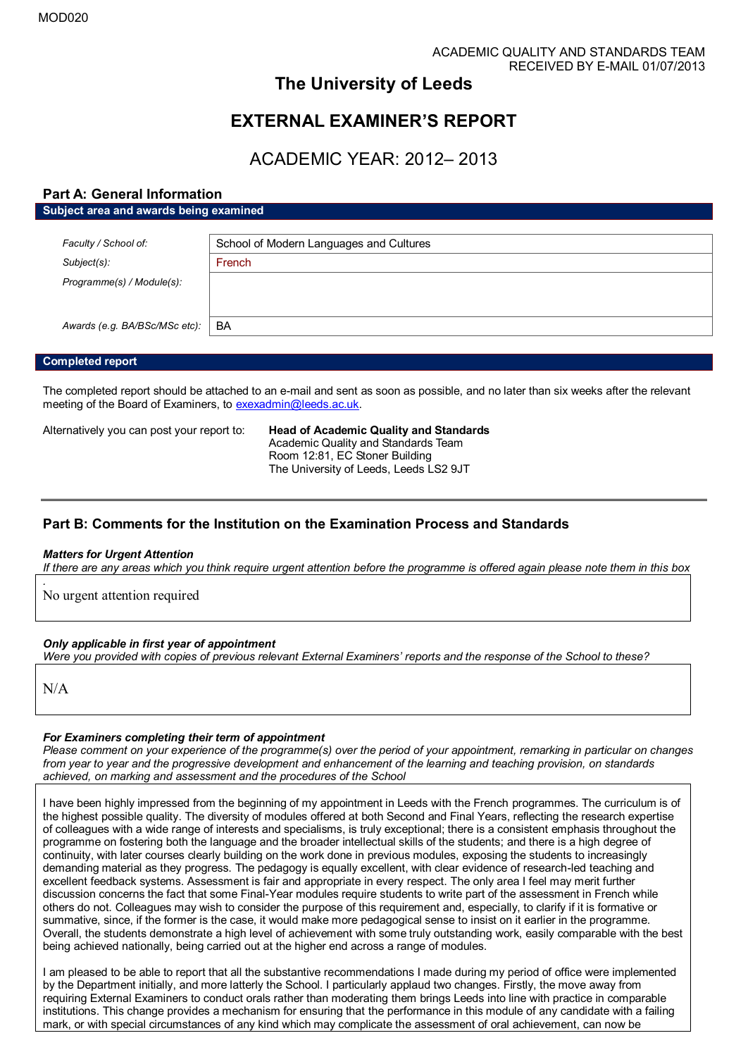# **The University of Leeds**

# **EXTERNAL EXAMINER'S REPORT**

# ACADEMIC YEAR: 2012– 2013

# **Part A: General Information Subject area and awards being examined**

| Faculty / School of:          | School of Modern Languages and Cultures |
|-------------------------------|-----------------------------------------|
| $Subject(s)$ :                | French                                  |
| Programme(s) / Module(s):     |                                         |
|                               |                                         |
|                               |                                         |
| Awards (e.g. BA/BSc/MSc etc): | BA                                      |
|                               |                                         |

## **Completed report**

The completed report should be attached to an e-mail and sent as soon as possible, and no later than six weeks after the relevant meeting of the Board of Examiners, t[o exexadmin@leeds.ac.uk.](mailto:exexadmin@leeds.ac.uk)

Alternatively you can post your report to: **Head of Academic Quality and Standards**  Academic Quality and Standards Team Room 12:81, EC Stoner Building The University of Leeds, Leeds LS2 9JT

# **Part B: Comments for the Institution on the Examination Process and Standards**

### *Matters for Urgent Attention*

*If there are any areas which you think require urgent attention before the programme is offered again please note them in this box*

No urgent attention required

## *Only applicable in first year of appointment*

*Were you provided with copies of previous relevant External Examiners' reports and the response of the School to these?* 

N/A

*.*

### *For Examiners completing their term of appointment*

*Please comment on your experience of the programme(s) over the period of your appointment, remarking in particular on changes from year to year and the progressive development and enhancement of the learning and teaching provision, on standards achieved, on marking and assessment and the procedures of the School*

I have been highly impressed from the beginning of my appointment in Leeds with the French programmes. The curriculum is of the highest possible quality. The diversity of modules offered at both Second and Final Years, reflecting the research expertise of colleagues with a wide range of interests and specialisms, is truly exceptional; there is a consistent emphasis throughout the programme on fostering both the language and the broader intellectual skills of the students; and there is a high degree of continuity, with later courses clearly building on the work done in previous modules, exposing the students to increasingly demanding material as they progress. The pedagogy is equally excellent, with clear evidence of research-led teaching and excellent feedback systems. Assessment is fair and appropriate in every respect. The only area I feel may merit further discussion concerns the fact that some Final-Year modules require students to write part of the assessment in French while others do not. Colleagues may wish to consider the purpose of this requirement and, especially, to clarify if it is formative or summative, since, if the former is the case, it would make more pedagogical sense to insist on it earlier in the programme. Overall, the students demonstrate a high level of achievement with some truly outstanding work, easily comparable with the best being achieved nationally, being carried out at the higher end across a range of modules. A CADEMIC VANDER'S CHAPTER AND EXTERNAL EXAMINER'S REPORT<br>
EXTERNAL EXAMINER'S REPORT<br>
ACADEMIC YEAR: 2012-2013<br>
Park, Ganeal Information<br>
Park, or with special complications of any complex of any kind which may complex a

I am pleased to be able to report that all the substantive recommendations I made during my period of office were implemented by the Department initially, and more latterly the School. I particularly applaud two changes. Firstly, the move away from requiring External Examiners to conduct orals rather than moderating them brings Leeds into line with practice in comparable institutions. This change provides a mechanism for ensuring that the performance in this module of any candidate with a failing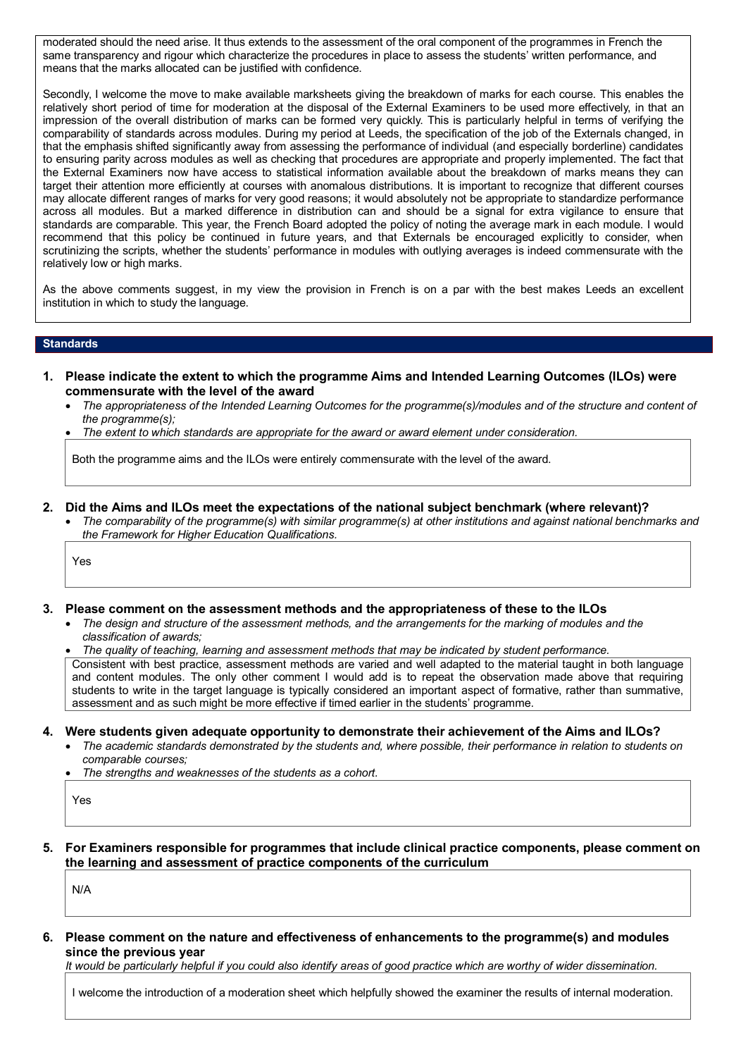moderated should the need arise. It thus extends to the assessment of the oral component of the programmes in French the same transparency and rigour which characterize the procedures in place to assess the students' written performance, and means that the marks allocated can be justified with confidence.

Secondly, I welcome the move to make available marksheets giving the breakdown of marks for each course. This enables the relatively short period of time for moderation at the disposal of the External Examiners to be used more effectively, in that an impression of the overall distribution of marks can be formed very quickly. This is particularly helpful in terms of verifying the comparability of standards across modules. During my period at Leeds, the specification of the job of the Externals changed, in that the emphasis shifted significantly away from assessing the performance of individual (and especially borderline) candidates to ensuring parity across modules as well as checking that procedures are appropriate and properly implemented. The fact that the External Examiners now have access to statistical information available about the breakdown of marks means they can target their attention more efficiently at courses with anomalous distributions. It is important to recognize that different courses may allocate different ranges of marks for very good reasons; it would absolutely not be appropriate to standardize performance across all modules. But a marked difference in distribution can and should be a signal for extra vigilance to ensure that standards are comparable. This year, the French Board adopted the policy of noting the average mark in each module. I would recommend that this policy be continued in future years, and that Externals be encouraged explicitly to consider, when scrutinizing the scripts, whether the students' performance in modules with outlying averages is indeed commensurate with the relatively low or high marks.

As the above comments suggest, in my view the provision in French is on a par with the best makes Leeds an excellent institution in which to study the language.

## **Standards**

- **1. Please indicate the extent to which the programme Aims and Intended Learning Outcomes (ILOs) were commensurate with the level of the award** 
	- *The appropriateness of the Intended Learning Outcomes for the programme(s)/modules and of the structure and content of the programme(s);*
	- *The extent to which standards are appropriate for the award or award element under consideration.*

Both the programme aims and the ILOs were entirely commensurate with the level of the award.

- **2. Did the Aims and ILOs meet the expectations of the national subject benchmark (where relevant)?** 
	- *The comparability of the programme(s) with similar programme(s) at other institutions and against national benchmarks and the Framework for Higher Education Qualifications.*

Yes

- **3. Please comment on the assessment methods and the appropriateness of these to the ILOs** 
	- *The design and structure of the assessment methods, and the arrangements for the marking of modules and the classification of awards;*
	- *The quality of teaching, learning and assessment methods that may be indicated by student performance.*

Consistent with best practice, assessment methods are varied and well adapted to the material taught in both language and content modules. The only other comment I would add is to repeat the observation made above that requiring students to write in the target language is typically considered an important aspect of formative, rather than summative, assessment and as such might be more effective if timed earlier in the students' programme.

- **4. Were students given adequate opportunity to demonstrate their achievement of the Aims and ILOs?**
	- *The academic standards demonstrated by the students and, where possible, their performance in relation to students on comparable courses;*
	- *The strengths and weaknesses of the students as a cohort.*

Yes

**5. For Examiners responsible for programmes that include clinical practice components, please comment on the learning and assessment of practice components of the curriculum**

N/A

**6. Please comment on the nature and effectiveness of enhancements to the programme(s) and modules since the previous year**

*It would be particularly helpful if you could also identify areas of good practice which are worthy of wider dissemination.* 

I welcome the introduction of a moderation sheet which helpfully showed the examiner the results of internal moderation.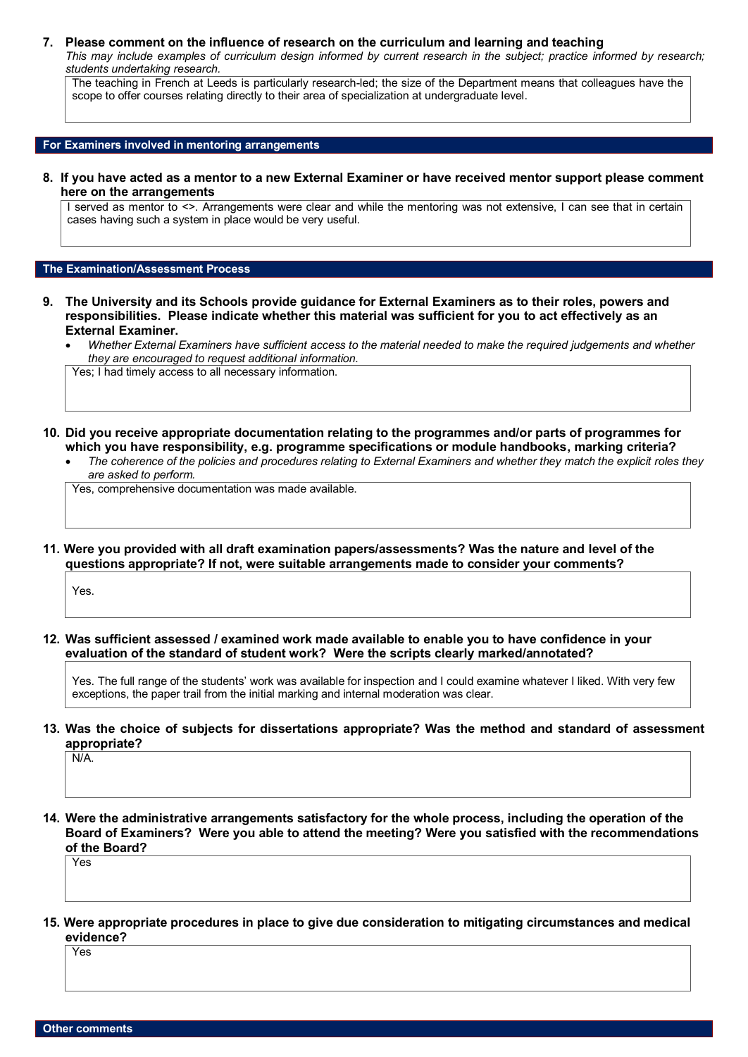### **7. Please comment on the influence of research on the curriculum and learning and teaching**

*This may include examples of curriculum design informed by current research in the subject; practice informed by research; students undertaking research.* 

The teaching in French at Leeds is particularly research-led; the size of the Department means that colleagues have the scope to offer courses relating directly to their area of specialization at undergraduate level.

**For Examiners involved in mentoring arrangements**

**8. If you have acted as a mentor to a new External Examiner or have received mentor support please comment here on the arrangements**

I served as mentor to <>. Arrangements were clear and while the mentoring was not extensive, I can see that in certain cases having such a system in place would be very useful.

#### **The Examination/Assessment Process**

- **9. The University and its Schools provide guidance for External Examiners as to their roles, powers and responsibilities. Please indicate whether this material was sufficient for you to act effectively as an External Examiner.**
	- *Whether External Examiners have sufficient access to the material needed to make the required judgements and whether they are encouraged to request additional information.*

Yes; I had timely access to all necessary information.

- **10. Did you receive appropriate documentation relating to the programmes and/or parts of programmes for which you have responsibility, e.g. programme specifications or module handbooks, marking criteria?**
	- *The coherence of the policies and procedures relating to External Examiners and whether they match the explicit roles they are asked to perform.*

Yes, comprehensive documentation was made available.

**11. Were you provided with all draft examination papers/assessments? Was the nature and level of the questions appropriate? If not, were suitable arrangements made to consider your comments?** 

Yes.

**12. Was sufficient assessed / examined work made available to enable you to have confidence in your evaluation of the standard of student work? Were the scripts clearly marked/annotated?** 

Yes. The full range of the students' work was available for inspection and I could examine whatever I liked. With very few exceptions, the paper trail from the initial marking and internal moderation was clear.

## **13. Was the choice of subjects for dissertations appropriate? Was the method and standard of assessment appropriate?**

N/A.

**14. Were the administrative arrangements satisfactory for the whole process, including the operation of the Board of Examiners? Were you able to attend the meeting? Were you satisfied with the recommendations of the Board?**

Yes

**15. Were appropriate procedures in place to give due consideration to mitigating circumstances and medical evidence?**

Yes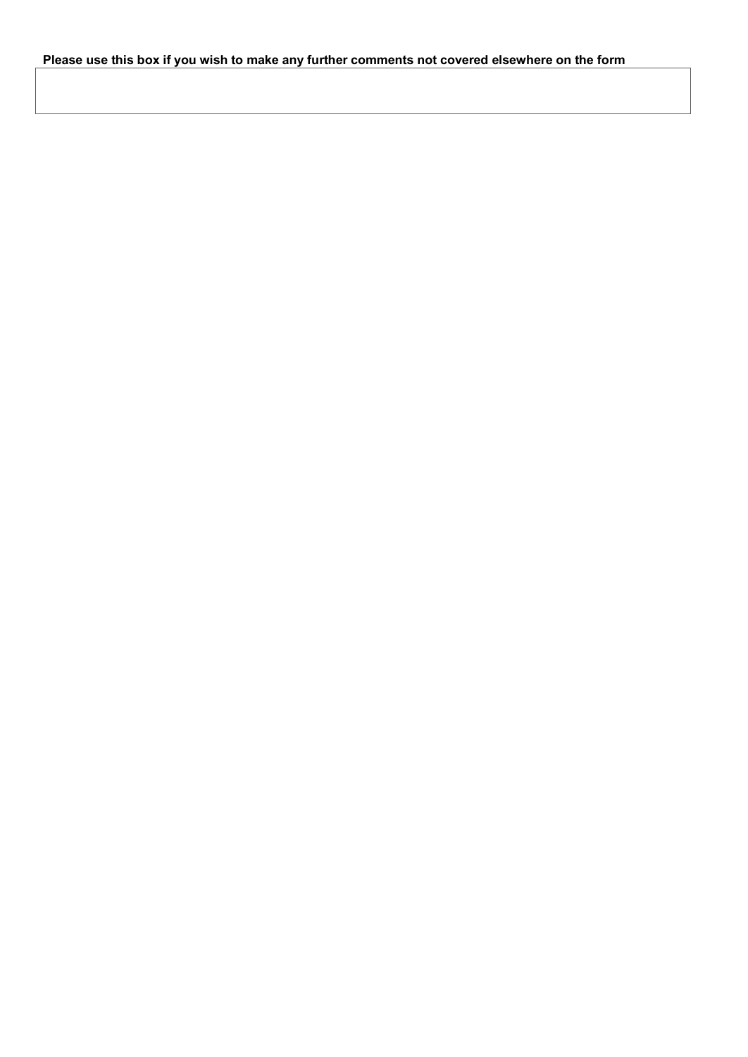# **Please use this box if you wish to make any further comments not covered elsewhere on the form**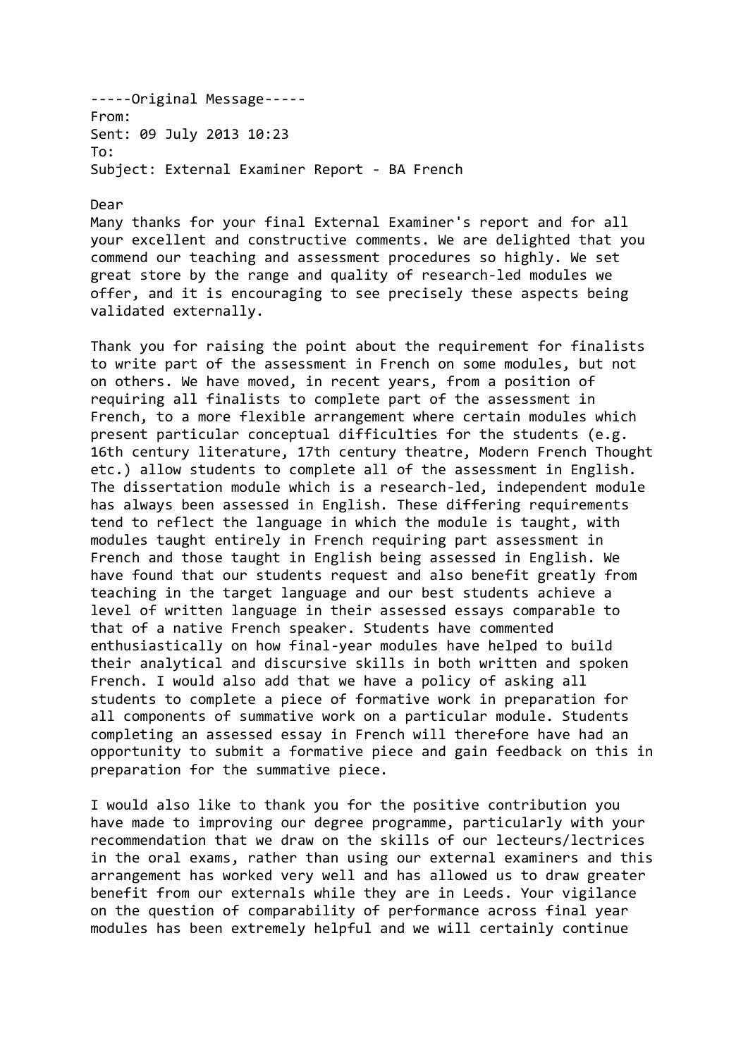-----Original Message----- From: Sent: 09 July 2013 10:23 To: Subject: External Examiner Report - BA French

Dear

Many thanks for your final External Examiner's report and for all your excellent and constructive comments. We are delighted that you commend our teaching and assessment procedures so highly. We set great store by the range and quality of research-led modules we offer, and it is encouraging to see precisely these aspects being validated externally.

Thank you for raising the point about the requirement for finalists to write part of the assessment in French on some modules, but not on others. We have moved, in recent years, from a position of requiring all finalists to complete part of the assessment in French, to a more flexible arrangement where certain modules which present particular conceptual difficulties for the students (e.g. 16th century literature, 17th century theatre, Modern French Thought etc.) allow students to complete all of the assessment in English. The dissertation module which is a research-led, independent module has always been assessed in English. These differing requirements tend to reflect the language in which the module is taught, with modules taught entirely in French requiring part assessment in French and those taught in English being assessed in English. We have found that our students request and also benefit greatly from teaching in the target language and our best students achieve a level of written language in their assessed essays comparable to that of a native French speaker. Students have commented enthusiastically on how final-year modules have helped to build their analytical and discursive skills in both written and spoken French. I would also add that we have a policy of asking all students to complete a piece of formative work in preparation for all components of summative work on a particular module. Students completing an assessed essay in French will therefore have had an opportunity to submit a formative piece and gain feedback on this in preparation for the summative piece.

I would also like to thank you for the positive contribution you have made to improving our degree programme, particularly with your recommendation that we draw on the skills of our lecteurs/lectrices in the oral exams, rather than using our external examiners and this arrangement has worked very well and has allowed us to draw greater benefit from our externals while they are in Leeds. Your vigilance on the question of comparability of performance across final year modules has been extremely helpful and we will certainly continue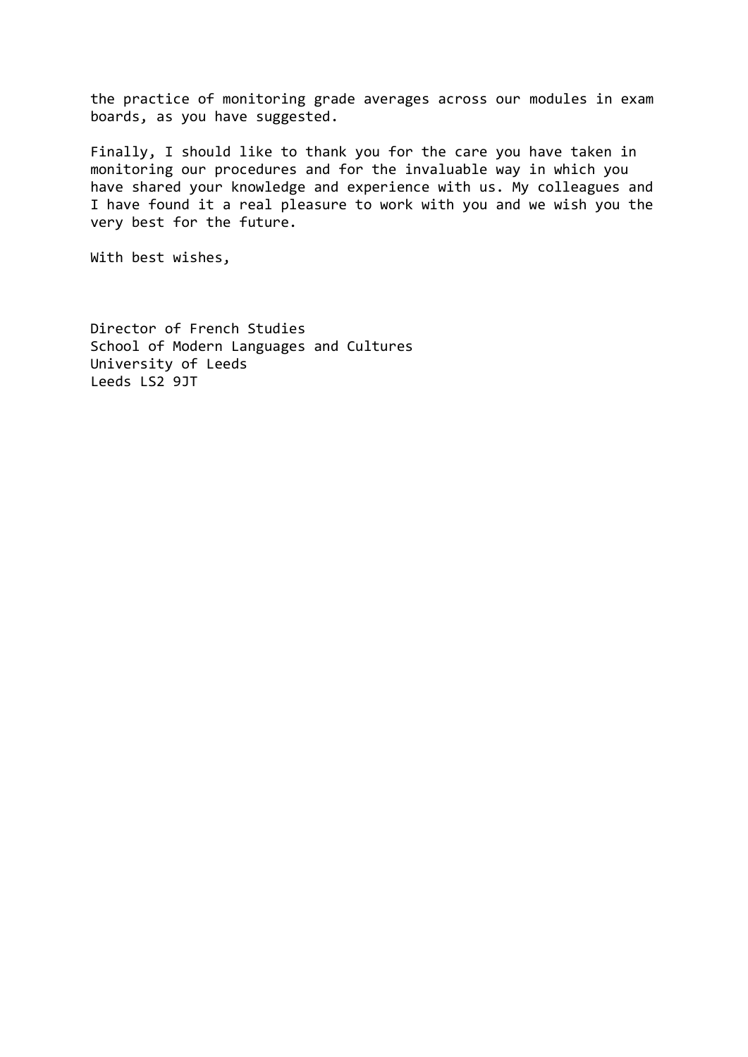the practice of monitoring grade averages across our modules in exam boards, as you have suggested.

Finally, I should like to thank you for the care you have taken in monitoring our procedures and for the invaluable way in which you have shared your knowledge and experience with us. My colleagues and I have found it a real pleasure to work with you and we wish you the very best for the future.

With best wishes,

Director of French Studies School of Modern Languages and Cultures University of Leeds Leeds LS2 9JT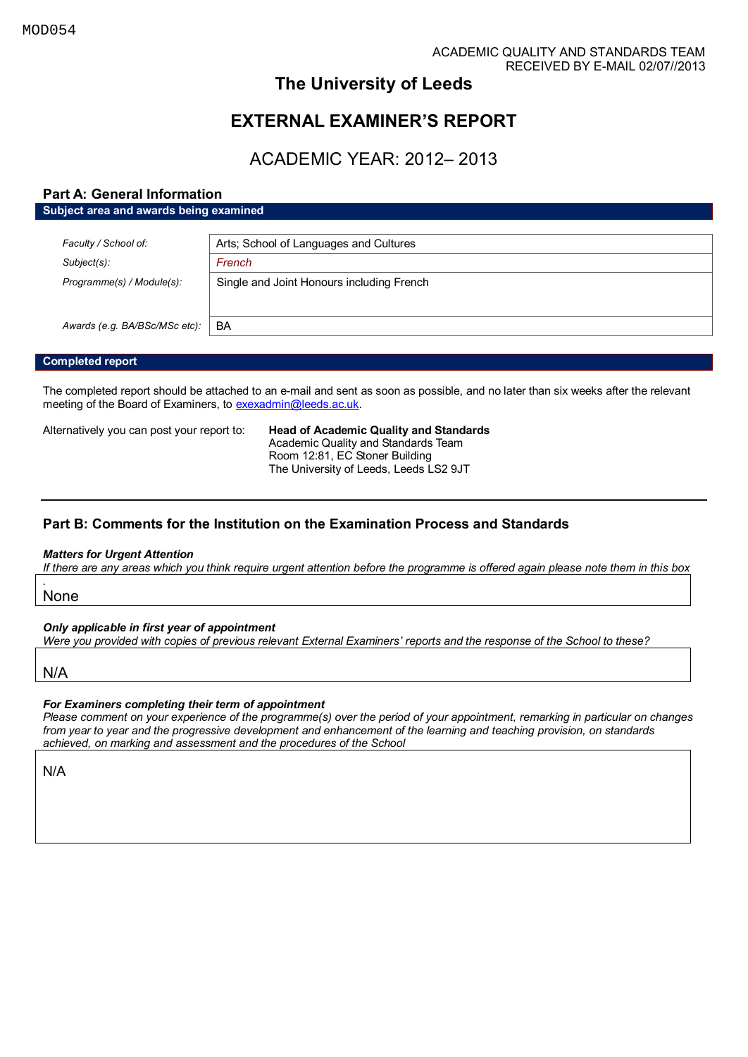# **The University of Leeds**

# **EXTERNAL EXAMINER'S REPORT**

# ACADEMIC YEAR: 2012– 2013

# **Part A: General Information**

| Subject area and awards being examined |                                           |  |
|----------------------------------------|-------------------------------------------|--|
|                                        |                                           |  |
| Faculty / School of:                   | Arts; School of Languages and Cultures    |  |
| Subject(s):                            | French                                    |  |
| Programme(s) / Module(s):              | Single and Joint Honours including French |  |
|                                        |                                           |  |
|                                        |                                           |  |
| Awards (e.g. BA/BSc/MSc etc):          | BA                                        |  |

## **Completed report**

The completed report should be attached to an e-mail and sent as soon as possible, and no later than six weeks after the relevant meeting of the Board of Examiners, t[o exexadmin@leeds.ac.uk.](mailto:exexadmin@leeds.ac.uk)

Alternatively you can post your report to: **Head of Academic Quality and Standards** 

Academic Quality and Standards Team Room 12:81, EC Stoner Building The University of Leeds, Leeds LS2 9JT

# **Part B: Comments for the Institution on the Examination Process and Standards**

### *Matters for Urgent Attention*

*If there are any areas which you think require urgent attention before the programme is offered again please note them in this box*

None

*.*

*Only applicable in first year of appointment* 

*Were you provided with copies of previous relevant External Examiners' reports and the response of the School to these?* 

N/A

## *For Examiners completing their term of appointment*

*Please comment on your experience of the programme(s) over the period of your appointment, remarking in particular on changes from year to year and the progressive development and enhancement of the learning and teaching provision, on standards achieved, on marking and assessment and the procedures of the School*

N/A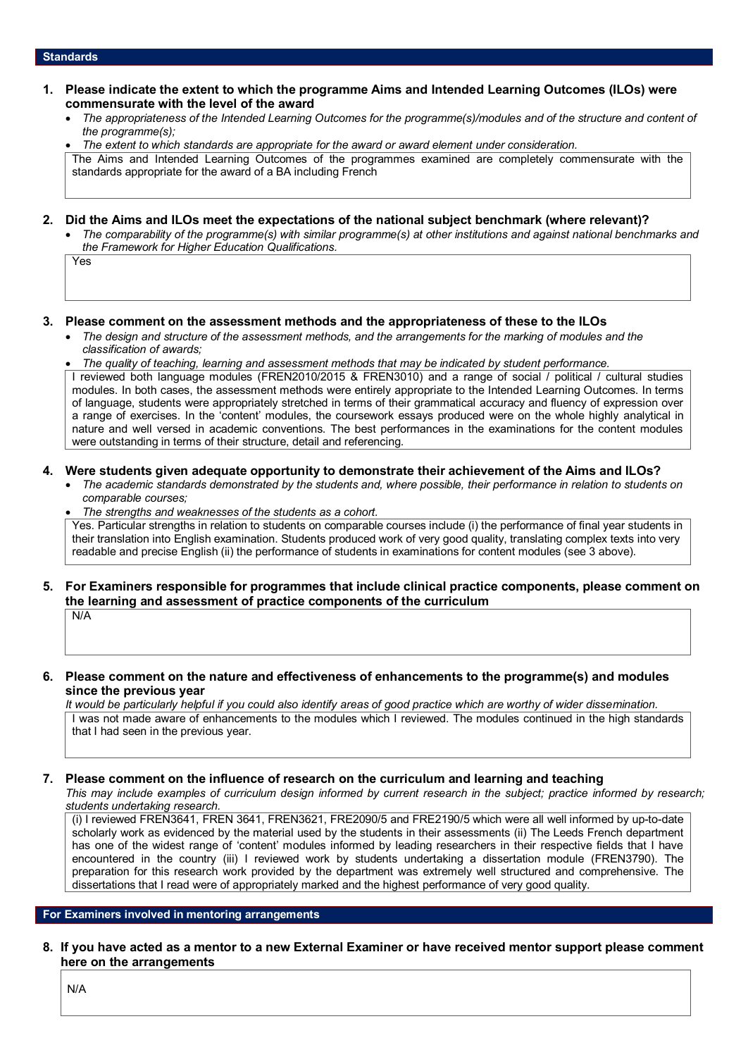- **1. Please indicate the extent to which the programme Aims and Intended Learning Outcomes (ILOs) were commensurate with the level of the award** 
	- *The appropriateness of the Intended Learning Outcomes for the programme(s)/modules and of the structure and content of the programme(s);*

 *The extent to which standards are appropriate for the award or award element under consideration.*  The Aims and Intended Learning Outcomes of the programmes examined are completely commensurate with the standards appropriate for the award of a BA including French

### **2. Did the Aims and ILOs meet the expectations of the national subject benchmark (where relevant)?**

 *The comparability of the programme(s) with similar programme(s) at other institutions and against national benchmarks and the Framework for Higher Education Qualifications.* 

Yes

### **3. Please comment on the assessment methods and the appropriateness of these to the ILOs**

- *The design and structure of the assessment methods, and the arrangements for the marking of modules and the classification of awards;*
- *The quality of teaching, learning and assessment methods that may be indicated by student performance.*

I reviewed both language modules (FREN2010/2015 & FREN3010) and a range of social / political / cultural studies modules. In both cases, the assessment methods were entirely appropriate to the Intended Learning Outcomes. In terms of language, students were appropriately stretched in terms of their grammatical accuracy and fluency of expression over a range of exercises. In the 'content' modules, the coursework essays produced were on the whole highly analytical in nature and well versed in academic conventions. The best performances in the examinations for the content modules were outstanding in terms of their structure, detail and referencing.

## **4. Were students given adequate opportunity to demonstrate their achievement of the Aims and ILOs?**

- The academic standards demonstrated by the students and, where possible, their performance in relation to students on *comparable courses;*
- *The strengths and weaknesses of the students as a cohort.*

Yes. Particular strengths in relation to students on comparable courses include (i) the performance of final year students in their translation into English examination. Students produced work of very good quality, translating complex texts into very readable and precise English (ii) the performance of students in examinations for content modules (see 3 above).

#### **5. For Examiners responsible for programmes that include clinical practice components, please comment on the learning and assessment of practice components of the curriculum** N/A

**6. Please comment on the nature and effectiveness of enhancements to the programme(s) and modules since the previous year**

*It would be particularly helpful if you could also identify areas of good practice which are worthy of wider dissemination.*  I was not made aware of enhancements to the modules which I reviewed. The modules continued in the high standards that I had seen in the previous year.

## **7. Please comment on the influence of research on the curriculum and learning and teaching**

*This may include examples of curriculum design informed by current research in the subject; practice informed by research; students undertaking research.* 

(i) I reviewed FREN3641, FREN 3641, FREN3621, FRE2090/5 and FRE2190/5 which were all well informed by up-to-date scholarly work as evidenced by the material used by the students in their assessments (ii) The Leeds French department has one of the widest range of 'content' modules informed by leading researchers in their respective fields that I have encountered in the country (iii) I reviewed work by students undertaking a dissertation module (FREN3790). The preparation for this research work provided by the department was extremely well structured and comprehensive. The dissertations that I read were of appropriately marked and the highest performance of very good quality.

### **For Examiners involved in mentoring arrangements**

**8. If you have acted as a mentor to a new External Examiner or have received mentor support please comment here on the arrangements**

N/A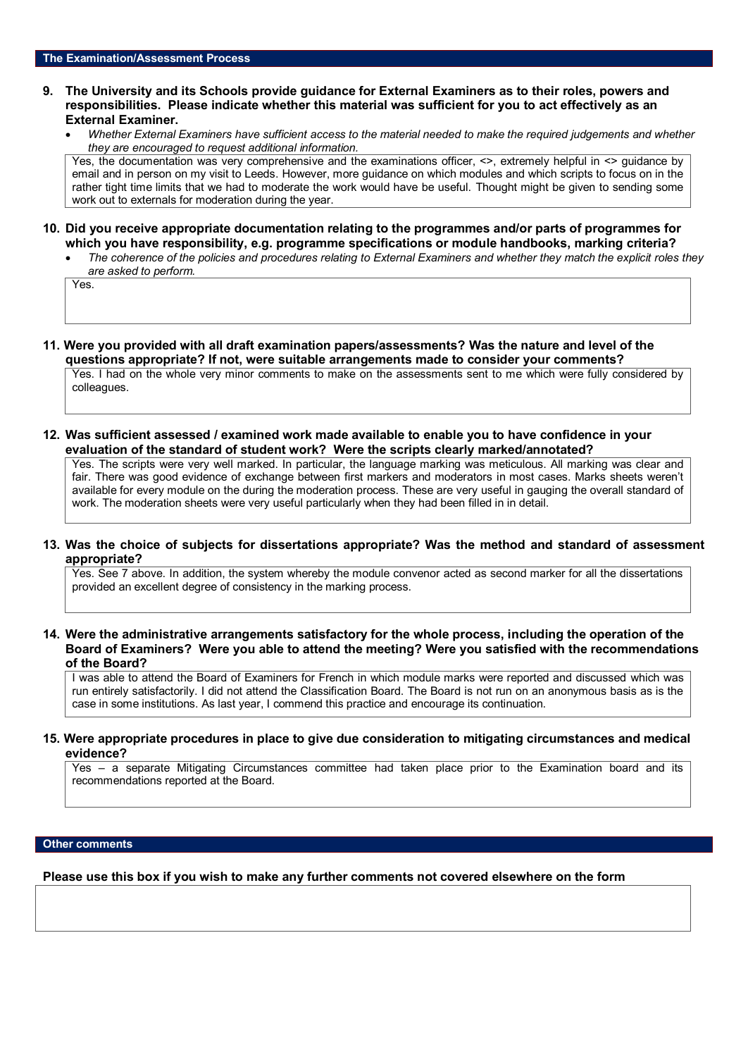- **9. The University and its Schools provide guidance for External Examiners as to their roles, powers and responsibilities. Please indicate whether this material was sufficient for you to act effectively as an External Examiner.**
	- *Whether External Examiners have sufficient access to the material needed to make the required judgements and whether they are encouraged to request additional information.*

Yes, the documentation was very comprehensive and the examinations officer,  $\leq$ , extremely helpful in  $\leq$  guidance by email and in person on my visit to Leeds. However, more guidance on which modules and which scripts to focus on in the rather tight time limits that we had to moderate the work would have be useful. Thought might be given to sending some work out to externals for moderation during the year.

- **10. Did you receive appropriate documentation relating to the programmes and/or parts of programmes for which you have responsibility, e.g. programme specifications or module handbooks, marking criteria?**
	- *The coherence of the policies and procedures relating to External Examiners and whether they match the explicit roles they are asked to perform.*

Yes.

- **11. Were you provided with all draft examination papers/assessments? Was the nature and level of the questions appropriate? If not, were suitable arrangements made to consider your comments?**  Yes. I had on the whole very minor comments to make on the assessments sent to me which were fully considered by colleagues.
- **12. Was sufficient assessed / examined work made available to enable you to have confidence in your evaluation of the standard of student work? Were the scripts clearly marked/annotated?**

Yes. The scripts were very well marked. In particular, the language marking was meticulous. All marking was clear and fair. There was good evidence of exchange between first markers and moderators in most cases. Marks sheets weren't available for every module on the during the moderation process. These are very useful in gauging the overall standard of work. The moderation sheets were very useful particularly when they had been filled in in detail.

## **13. Was the choice of subjects for dissertations appropriate? Was the method and standard of assessment appropriate?**

Yes. See 7 above. In addition, the system whereby the module convenor acted as second marker for all the dissertations provided an excellent degree of consistency in the marking process.

**14. Were the administrative arrangements satisfactory for the whole process, including the operation of the Board of Examiners? Were you able to attend the meeting? Were you satisfied with the recommendations of the Board?**

I was able to attend the Board of Examiners for French in which module marks were reported and discussed which was run entirely satisfactorily. I did not attend the Classification Board. The Board is not run on an anonymous basis as is the case in some institutions. As last year, I commend this practice and encourage its continuation.

### **15. Were appropriate procedures in place to give due consideration to mitigating circumstances and medical evidence?**

Yes – a separate Mitigating Circumstances committee had taken place prior to the Examination board and its recommendations reported at the Board.

#### **Other comments**

**Please use this box if you wish to make any further comments not covered elsewhere on the form**